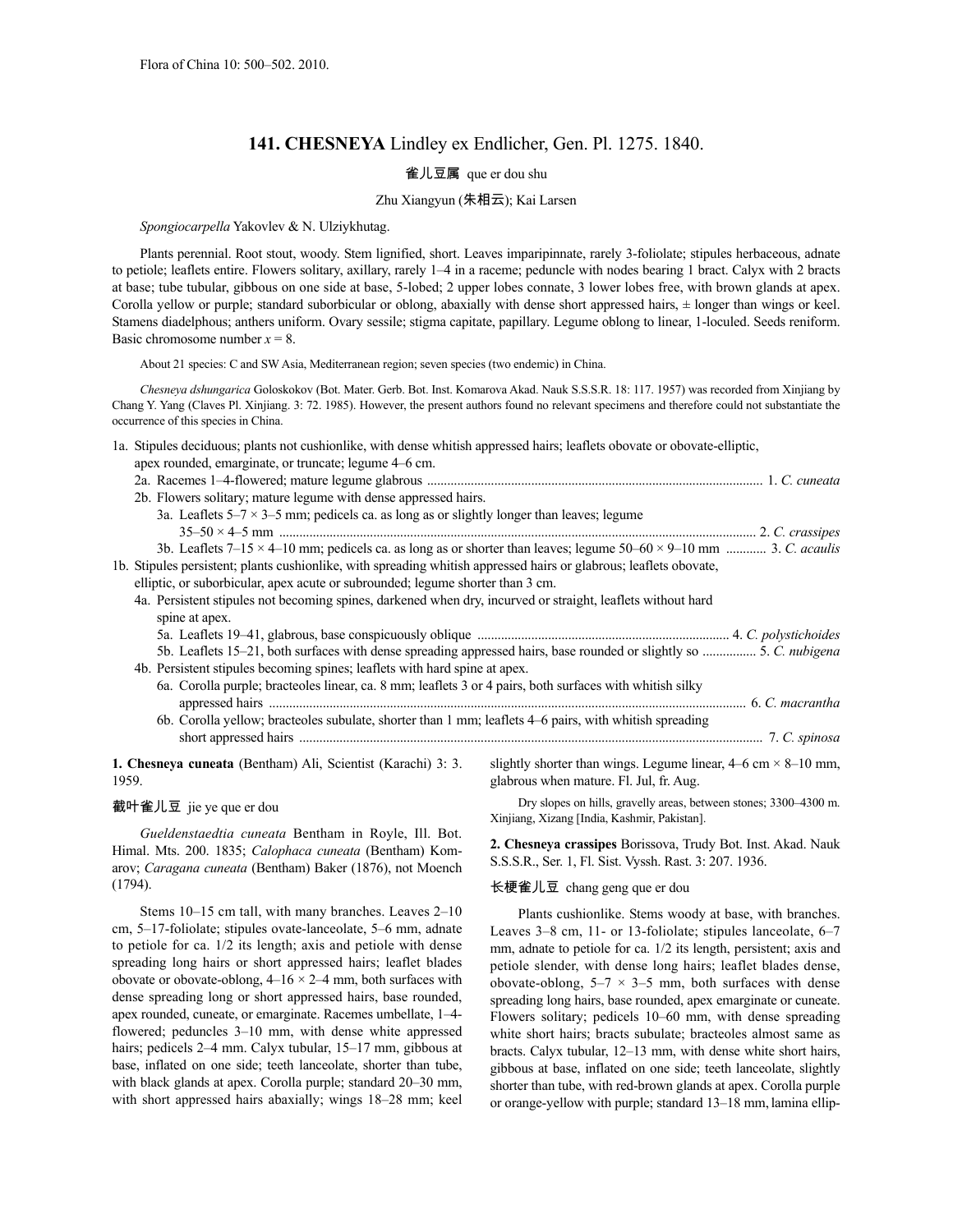# **141. CHESNEYA** Lindley ex Endlicher, Gen. Pl. 1275. 1840.

## 雀儿豆属 que er dou shu

#### Zhu Xiangyun (朱相云); Kai Larsen

*Spongiocarpella* Yakovlev & N. Ulziykhutag.

Plants perennial. Root stout, woody. Stem lignified, short. Leaves imparipinnate, rarely 3-foliolate; stipules herbaceous, adnate to petiole; leaflets entire. Flowers solitary, axillary, rarely 1–4 in a raceme; peduncle with nodes bearing 1 bract. Calyx with 2 bracts at base; tube tubular, gibbous on one side at base, 5-lobed; 2 upper lobes connate, 3 lower lobes free, with brown glands at apex. Corolla yellow or purple; standard suborbicular or oblong, abaxially with dense short appressed hairs, ± longer than wings or keel. Stamens diadelphous; anthers uniform. Ovary sessile; stigma capitate, papillary. Legume oblong to linear, 1-loculed. Seeds reniform. Basic chromosome number  $x = 8$ .

About 21 species: C and SW Asia, Mediterranean region; seven species (two endemic) in China.

*Chesneya dshungarica* Goloskokov (Bot. Mater. Gerb. Bot. Inst. Komarova Akad. Nauk S.S.S.R. 18: 117. 1957) was recorded from Xinjiang by Chang Y. Yang (Claves Pl. Xinjiang. 3: 72. 1985). However, the present authors found no relevant specimens and therefore could not substantiate the occurrence of this species in China.

1a. Stipules deciduous; plants not cushionlike, with dense whitish appressed hairs; leaflets obovate or obovate-elliptic,

| apex rounded, emarginate, or truncate; legume 4–6 cm.                                                                     |  |
|---------------------------------------------------------------------------------------------------------------------------|--|
|                                                                                                                           |  |
| 2b. Flowers solitary; mature legume with dense appressed hairs.                                                           |  |
| 3a. Leaflets $5-7 \times 3-5$ mm; pedicels ca. as long as or slightly longer than leaves; legume                          |  |
|                                                                                                                           |  |
| 3b. Leaflets 7–15 × 4–10 mm; pedicels ca. as long as or shorter than leaves; legume $50-60 \times 9-10$ mm  3. C. acaulis |  |
| 1b. Stipules persistent; plants cushionlike, with spreading whitish appressed hairs or glabrous; leaflets obovate,        |  |
| elliptic, or suborbicular, apex acute or subrounded; legume shorter than 3 cm.                                            |  |
| 4a. Persistent stipules not becoming spines, darkened when dry, incurved or straight, leaflets without hard               |  |
| spine at apex.                                                                                                            |  |
|                                                                                                                           |  |
| 5. Leaflets 15–21, both surfaces with dense spreading appressed hairs, base rounded or slightly so  5. C. nubigena        |  |
| 4b. Persistent stipules becoming spines; leaflets with hard spine at apex.                                                |  |
| 6a. Corolla purple; bracteoles linear, ca. 8 mm; leaflets 3 or 4 pairs, both surfaces with whitish silky                  |  |
|                                                                                                                           |  |
| 6b. Corolla yellow; bracteoles subulate, shorter than 1 mm; leaflets 4–6 pairs, with whitish spreading                    |  |
|                                                                                                                           |  |
|                                                                                                                           |  |

**1. Chesneya cuneata** (Bentham) Ali, Scientist (Karachi) 3: 3. 1959.

### 截叶雀儿豆 jie ye que er dou

*Gueldenstaedtia cuneata* Bentham in Royle, Ill. Bot. Himal. Mts. 200. 1835; *Calophaca cuneata* (Bentham) Komarov; *Caragana cuneata* (Bentham) Baker (1876), not Moench (1794).

Stems 10–15 cm tall, with many branches. Leaves 2–10 cm, 5–17-foliolate; stipules ovate-lanceolate, 5–6 mm, adnate to petiole for ca. 1/2 its length; axis and petiole with dense spreading long hairs or short appressed hairs; leaflet blades obovate or obovate-oblong,  $4-16 \times 2-4$  mm, both surfaces with dense spreading long or short appressed hairs, base rounded, apex rounded, cuneate, or emarginate. Racemes umbellate, 1–4 flowered; peduncles 3–10 mm, with dense white appressed hairs; pedicels 2–4 mm. Calyx tubular, 15–17 mm, gibbous at base, inflated on one side; teeth lanceolate, shorter than tube, with black glands at apex. Corolla purple; standard 20–30 mm, with short appressed hairs abaxially; wings 18–28 mm; keel slightly shorter than wings. Legume linear,  $4-6$  cm  $\times$  8–10 mm, glabrous when mature. Fl. Jul, fr. Aug.

Dry slopes on hills, gravelly areas, between stones; 3300–4300 m. Xinjiang, Xizang [India, Kashmir, Pakistan].

**2. Chesneya crassipes** Borissova, Trudy Bot. Inst. Akad. Nauk S.S.S.R., Ser. 1, Fl. Sist. Vyssh. Rast. 3: 207. 1936.

### 长梗雀儿豆 chang geng que er dou

Plants cushionlike. Stems woody at base, with branches. Leaves 3–8 cm, 11- or 13-foliolate; stipules lanceolate, 6–7 mm, adnate to petiole for ca. 1/2 its length, persistent; axis and petiole slender, with dense long hairs; leaflet blades dense, obovate-oblong,  $5-7 \times 3-5$  mm, both surfaces with dense spreading long hairs, base rounded, apex emarginate or cuneate. Flowers solitary; pedicels 10–60 mm, with dense spreading white short hairs; bracts subulate; bracteoles almost same as bracts. Calyx tubular, 12–13 mm, with dense white short hairs, gibbous at base, inflated on one side; teeth lanceolate, slightly shorter than tube, with red-brown glands at apex. Corolla purple or orange-yellow with purple; standard 13–18 mm, lamina ellip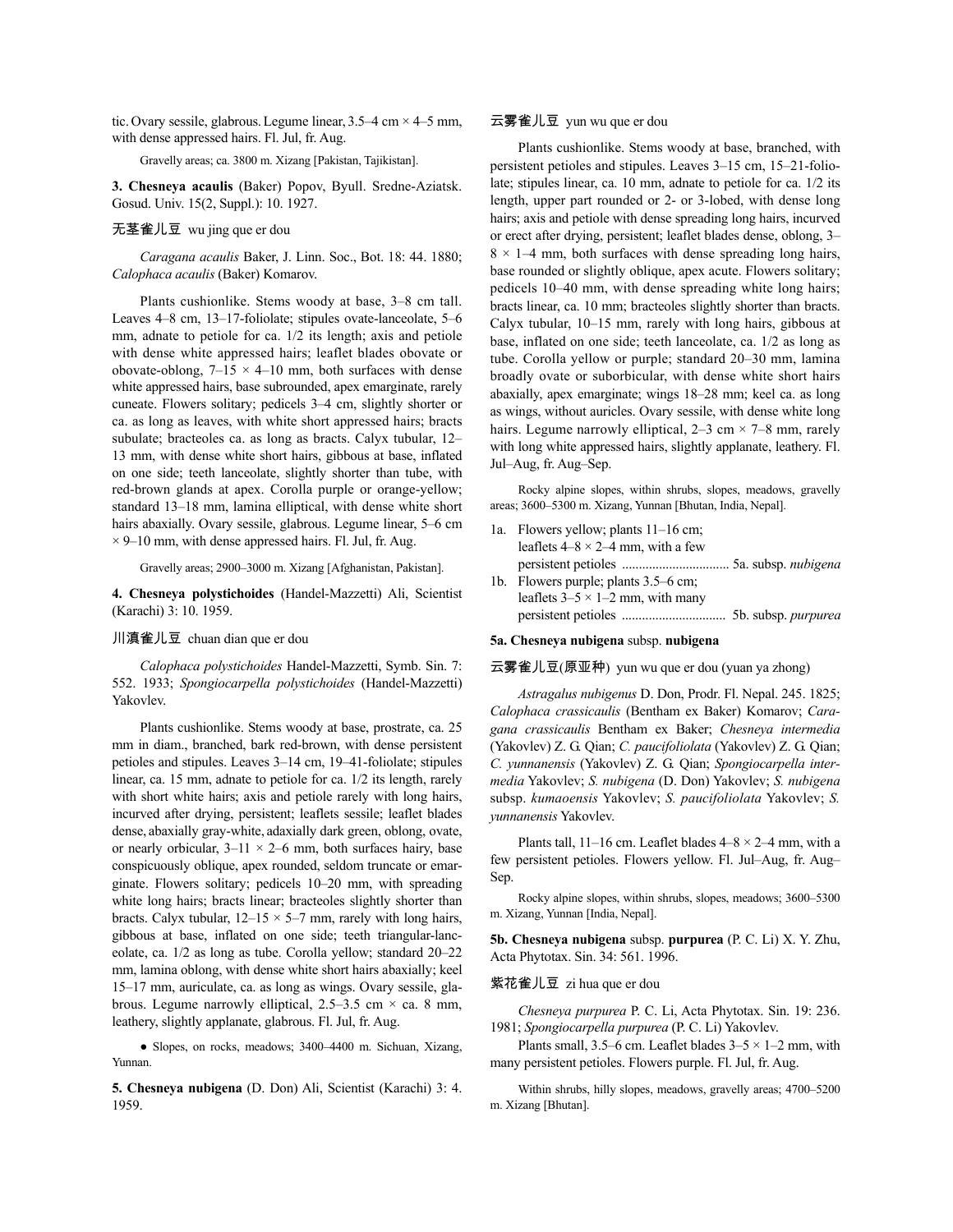tic. Ovary sessile, glabrous. Legume linear,  $3.5-4$  cm  $\times$  4-5 mm, with dense appressed hairs. Fl. Jul, fr. Aug.

Gravelly areas; ca. 3800 m. Xizang [Pakistan, Tajikistan].

**3. Chesneya acaulis** (Baker) Popov, Byull. Sredne-Aziatsk. Gosud. Univ. 15(2, Suppl.): 10. 1927.

### 无茎雀儿豆 wu jing que er dou

*Caragana acaulis* Baker, J. Linn. Soc., Bot. 18: 44. 1880; *Calophaca acaulis* (Baker) Komarov.

Plants cushionlike. Stems woody at base, 3–8 cm tall. Leaves 4–8 cm, 13–17-foliolate; stipules ovate-lanceolate, 5–6 mm, adnate to petiole for ca. 1/2 its length; axis and petiole with dense white appressed hairs; leaflet blades obovate or obovate-oblong,  $7-15 \times 4-10$  mm, both surfaces with dense white appressed hairs, base subrounded, apex emarginate, rarely cuneate. Flowers solitary; pedicels 3–4 cm, slightly shorter or ca. as long as leaves, with white short appressed hairs; bracts subulate; bracteoles ca. as long as bracts. Calyx tubular, 12– 13 mm, with dense white short hairs, gibbous at base, inflated on one side; teeth lanceolate, slightly shorter than tube, with red-brown glands at apex. Corolla purple or orange-yellow; standard 13–18 mm, lamina elliptical, with dense white short hairs abaxially. Ovary sessile, glabrous. Legume linear, 5–6 cm  $\times$  9–10 mm, with dense appressed hairs. Fl. Jul, fr. Aug.

Gravelly areas; 2900–3000 m. Xizang [Afghanistan, Pakistan].

**4. Chesneya polystichoides** (Handel-Mazzetti) Ali, Scientist (Karachi) 3: 10. 1959.

### 川滇雀儿豆 chuan dian que er dou

*Calophaca polystichoides* Handel-Mazzetti, Symb. Sin. 7: 552. 1933; *Spongiocarpella polystichoides* (Handel-Mazzetti) Yakovlev.

Plants cushionlike. Stems woody at base, prostrate, ca. 25 mm in diam., branched, bark red-brown, with dense persistent petioles and stipules. Leaves 3–14 cm, 19–41-foliolate; stipules linear, ca. 15 mm, adnate to petiole for ca. 1/2 its length, rarely with short white hairs; axis and petiole rarely with long hairs, incurved after drying, persistent; leaflets sessile; leaflet blades dense, abaxially gray-white, adaxially dark green, oblong, ovate, or nearly orbicular,  $3-11 \times 2-6$  mm, both surfaces hairy, base conspicuously oblique, apex rounded, seldom truncate or emarginate. Flowers solitary; pedicels 10–20 mm, with spreading white long hairs; bracts linear; bracteoles slightly shorter than bracts. Calyx tubular,  $12-15 \times 5-7$  mm, rarely with long hairs, gibbous at base, inflated on one side; teeth triangular-lanceolate, ca. 1/2 as long as tube. Corolla yellow; standard 20–22 mm, lamina oblong, with dense white short hairs abaxially; keel 15–17 mm, auriculate, ca. as long as wings. Ovary sessile, glabrous. Legume narrowly elliptical,  $2.5-3.5$  cm  $\times$  ca. 8 mm, leathery, slightly applanate, glabrous. Fl. Jul, fr. Aug.

● Slopes, on rocks, meadows; 3400–4400 m. Sichuan, Xizang, Yunnan.

**5. Chesneya nubigena** (D. Don) Ali, Scientist (Karachi) 3: 4. 1959.

## 云雾雀儿豆 yun wu que er dou

Plants cushionlike. Stems woody at base, branched, with persistent petioles and stipules. Leaves 3–15 cm, 15–21-foliolate; stipules linear, ca. 10 mm, adnate to petiole for ca. 1/2 its length, upper part rounded or 2- or 3-lobed, with dense long hairs; axis and petiole with dense spreading long hairs, incurved or erect after drying, persistent; leaflet blades dense, oblong, 3–  $8 \times 1-4$  mm, both surfaces with dense spreading long hairs, base rounded or slightly oblique, apex acute. Flowers solitary; pedicels 10–40 mm, with dense spreading white long hairs; bracts linear, ca. 10 mm; bracteoles slightly shorter than bracts. Calyx tubular, 10–15 mm, rarely with long hairs, gibbous at base, inflated on one side; teeth lanceolate, ca. 1/2 as long as tube. Corolla yellow or purple; standard 20–30 mm, lamina broadly ovate or suborbicular, with dense white short hairs abaxially, apex emarginate; wings 18–28 mm; keel ca. as long as wings, without auricles. Ovary sessile, with dense white long hairs. Legume narrowly elliptical,  $2-3$  cm  $\times$  7-8 mm, rarely with long white appressed hairs, slightly applanate, leathery. Fl. Jul–Aug, fr. Aug–Sep.

Rocky alpine slopes, within shrubs, slopes, meadows, gravelly areas; 3600–5300 m. Xizang, Yunnan [Bhutan, India, Nepal].

- 1a. Flowers yellow; plants 11–16 cm; leaflets  $4-8 \times 2-4$  mm, with a few persistent petioles ................................ 5a. subsp. *nubigena*
- 1b. Flowers purple; plants 3.5–6 cm; leaflets  $3-5 \times 1-2$  mm, with many persistent petioles ............................... 5b. subsp. *purpurea*

#### **5a. Chesneya nubigena** subsp. **nubigena**

### 云雾雀儿豆(原亚种) yun wu que er dou (yuan ya zhong)

*Astragalus nubigenus* D. Don, Prodr. Fl. Nepal. 245. 1825; *Calophaca crassicaulis* (Bentham ex Baker) Komarov; *Caragana crassicaulis* Bentham ex Baker; *Chesneya intermedia* (Yakovlev) Z. G. Qian; *C. paucifoliolata* (Yakovlev) Z. G. Qian; *C. yunnanensis* (Yakovlev) Z. G. Qian; *Spongiocarpella intermedia* Yakovlev; *S. nubigena* (D. Don) Yakovlev; *S. nubigena* subsp. *kumaoensis* Yakovlev; *S. paucifoliolata* Yakovlev; *S. yunnanensis* Yakovlev.

Plants tall, 11–16 cm. Leaflet blades  $4-8 \times 2-4$  mm, with a few persistent petioles. Flowers yellow. Fl. Jul–Aug, fr. Aug– Sep.

Rocky alpine slopes, within shrubs, slopes, meadows; 3600–5300 m. Xizang, Yunnan [India, Nepal].

**5b. Chesneya nubigena** subsp. **purpurea** (P. C. Li) X. Y. Zhu, Acta Phytotax. Sin. 34: 561. 1996.

#### 紫花雀儿豆 zi hua que er dou

*Chesneya purpurea* P. C. Li, Acta Phytotax. Sin. 19: 236. 1981; *Spongiocarpella purpurea* (P. C. Li) Yakovlev.

Plants small, 3.5–6 cm. Leaflet blades  $3-5 \times 1-2$  mm, with many persistent petioles. Flowers purple. Fl. Jul, fr. Aug.

Within shrubs, hilly slopes, meadows, gravelly areas; 4700–5200 m. Xizang [Bhutan].